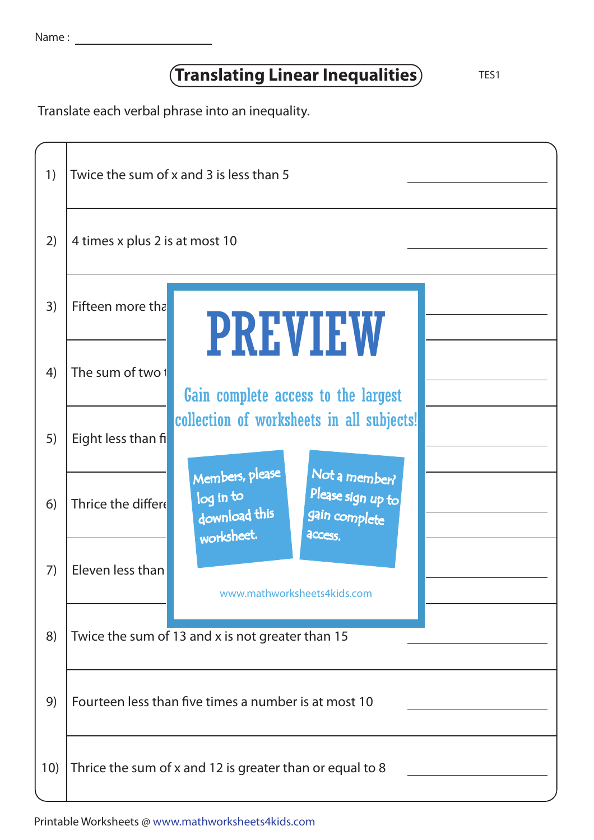## **Translating Linear Inequalities** TES1

Translate each verbal phrase into an inequality.

| 1)  | Twice the sum of x and 3 is less than 5                  |                                                                                                                                      |  |  |  |
|-----|----------------------------------------------------------|--------------------------------------------------------------------------------------------------------------------------------------|--|--|--|
| 2)  | 4 times x plus 2 is at most 10                           |                                                                                                                                      |  |  |  |
| 3)  | Fifteen more tha                                         | <b>PREVIEW</b>                                                                                                                       |  |  |  |
| 4)  | The sum of two 1                                         | Gain complete access to the largest                                                                                                  |  |  |  |
| 5)  | Eight less than fi                                       | collection of worksheets in all subjects!                                                                                            |  |  |  |
| 6)  | Thrice the differe                                       | Members, please<br>Not a member?<br>Please sign up to<br>log in to<br>download this<br>gain complete<br>worksheet.<br><b>ACCESS.</b> |  |  |  |
| 7)  | Eleven less than                                         | www.mathworksheets4kids.com                                                                                                          |  |  |  |
| 8)  |                                                          | Twice the sum of 13 and x is not greater than 15                                                                                     |  |  |  |
| 9)  | Fourteen less than five times a number is at most 10     |                                                                                                                                      |  |  |  |
| 10) | Thrice the sum of x and 12 is greater than or equal to 8 |                                                                                                                                      |  |  |  |